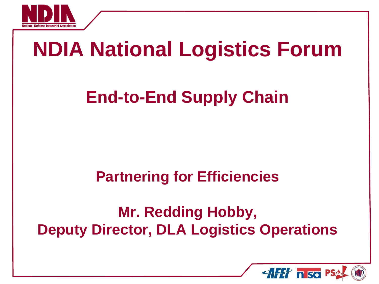

# **NDIA National Logistics Forum**

### **End-to-End Supply Chain**

### **Partnering for Efficiencies**

### **Mr. Redding Hobby, Deputy Director, DLA Logistics Operations**

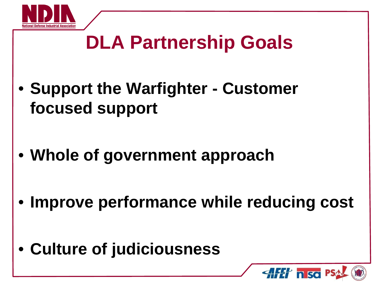

## **DLA Partnership Goals**

- **Support the Warfighter - Customer focused support**
- **Whole of government approach**
- **Improve performance while reducing cost**
- **Culture of judiciousness**

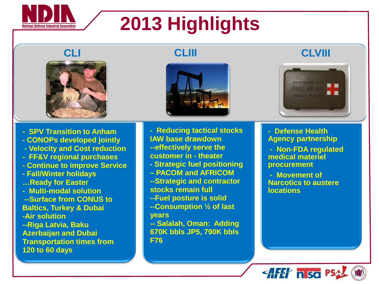

## **2013 Highlights**







**CLI CLIII CLVIII**



- **SPV Transition to Anham**
- **- CONOPs developed jointly**
- **- Velocity and Cost reduction**
- **FF&V regional purchases**
- **- Continue to improve Service**
- **- Fall/Winter holidays …Ready for Easter**
- **Multi-modal solution**
- **--Surface from CONUS to Baltics, Turkey & Dubai -Air solution --Riga Latvia, Baku Azerbaijan and Dubai**
- **Transportation times from 120 to 60 days**
- **Reducing tactical stocks IAW base drawdown**
- **--effectively serve the customer in - theater**
- **- Strategic fuel positioning**
- **– PACOM and AFRICOM**
- **--Strategic and contractor**
- **stocks remain full**
- **--Fuel posture is solid**
- **--Consumption ½ of last years**
- **-- Salalah, Oman: Adding 670K bbls JP5, 790K bbls F76**
- **Defense Health Agency partnership**
- **Non-FDA regulated medical materiel procurement**
- **Movement of Narcotics to austere locations**